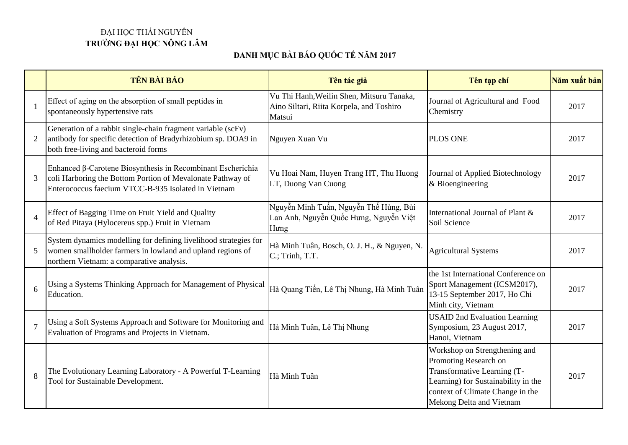## ĐẠI HỌC THÁI NGUYÊN **TRƯỜNG ĐẠI HỌC NÔNG LÂM**

## **DANH MỤC BÀI BÁO QUỐC TẾ NĂM 2017**

|                | TÊN BÀI BÁO                                                                                                                                                                      | Tên tác giả                                                                                     | Tên tạp chí                                                                                                                                                                                  | Năm xuất bản |
|----------------|----------------------------------------------------------------------------------------------------------------------------------------------------------------------------------|-------------------------------------------------------------------------------------------------|----------------------------------------------------------------------------------------------------------------------------------------------------------------------------------------------|--------------|
|                | Effect of aging on the absorption of small peptides in<br>spontaneously hypertensive rats                                                                                        | Vu Thi Hanh, Weilin Shen, Mitsuru Tanaka,<br>Aino Siltari, Riita Korpela, and Toshiro<br>Matsui | Journal of Agricultural and Food<br>Chemistry                                                                                                                                                | 2017         |
| $\overline{2}$ | Generation of a rabbit single-chain fragment variable (scFv)<br>antibody for specific detection of Bradyrhizobium sp. DOA9 in<br>both free-living and bacteroid forms            | Nguyen Xuan Vu                                                                                  | <b>PLOS ONE</b>                                                                                                                                                                              | 2017         |
| 3              | Enhanced β-Carotene Biosynthesis in Recombinant Escherichia<br>coli Harboring the Bottom Portion of Mevalonate Pathway of<br>Enterococcus faecium VTCC-B-935 Isolated in Vietnam | Vu Hoai Nam, Huyen Trang HT, Thu Huong<br>LT, Duong Van Cuong                                   | Journal of Applied Biotechnology<br>$&$ Bioengineering                                                                                                                                       | 2017         |
| $\overline{4}$ | Effect of Bagging Time on Fruit Yield and Quality<br>of Red Pitaya (Hylocereus spp.) Fruit in Vietnam                                                                            | Nguyễn Minh Tuấn, Nguyễn Thế Hùng, Bùi<br>Lan Anh, Nguyễn Quốc Hưng, Nguyễn Việt<br>Hung        | International Journal of Plant &<br>Soil Science                                                                                                                                             | 2017         |
| 5              | System dynamics modelling for defining livelihood strategies for<br>women smallholder farmers in lowland and upland regions of<br>northern Vietnam: a comparative analysis.      | Hà Minh Tuân, Bosch, O. J. H., & Nguyen, N.<br>C.; Trinh, T.T.                                  | <b>Agricultural Systems</b>                                                                                                                                                                  | 2017         |
| 6              | Using a Systems Thinking Approach for Management of Physical<br>Education.                                                                                                       | Hà Quang Tiến, Lê Thị Nhung, Hà Minh Tuân                                                       | the 1st International Conference on<br>Sport Management (ICSM2017),<br>13-15 September 2017, Ho Chi<br>Minh city, Vietnam                                                                    | 2017         |
| $\overline{7}$ | Using a Soft Systems Approach and Software for Monitoring and<br>Evaluation of Programs and Projects in Vietnam.                                                                 | Hà Minh Tuân, Lê Thị Nhung                                                                      | <b>USAID 2nd Evaluation Learning</b><br>Symposium, 23 August 2017,<br>Hanoi, Vietnam                                                                                                         | 2017         |
| 8              | The Evolutionary Learning Laboratory - A Powerful T-Learning<br>Tool for Sustainable Development.                                                                                | Hà Minh Tuân                                                                                    | Workshop on Strengthening and<br>Promoting Research on<br>Transformative Learning (T-<br>Learning) for Sustainability in the<br>context of Climate Change in the<br>Mekong Delta and Vietnam | 2017         |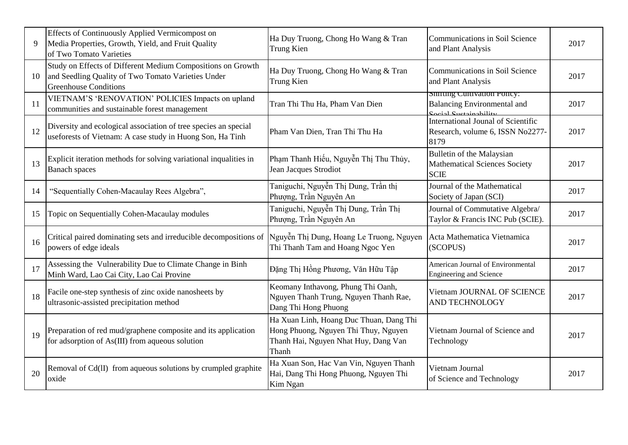| 9  | Effects of Continuously Applied Vermicompost on<br>Media Properties, Growth, Yield, and Fruit Quality<br>of Two Tomato Varieties                  | Ha Duy Truong, Chong Ho Wang & Tran<br>Trung Kien                                                                                | Communications in Soil Science<br>and Plant Analysis                                        | 2017 |
|----|---------------------------------------------------------------------------------------------------------------------------------------------------|----------------------------------------------------------------------------------------------------------------------------------|---------------------------------------------------------------------------------------------|------|
| 10 | Study on Effects of Different Medium Compositions on Growth<br>and Seedling Quality of Two Tomato Varieties Under<br><b>Greenhouse Conditions</b> | Ha Duy Truong, Chong Ho Wang & Tran<br>Trung Kien                                                                                | Communications in Soil Science<br>and Plant Analysis                                        | 2017 |
| 11 | VIETNAM'S 'RENOVATION' POLICIES Impacts on upland<br>communities and sustainable forest management                                                | Tran Thi Thu Ha, Pham Van Dien                                                                                                   | Shifting Cultivation Policy:<br><b>Balancing Environmental and</b><br>Social Suctoinability | 2017 |
| 12 | Diversity and ecological association of tree species an special<br>useforests of Vietnam: A case study in Huong Son, Ha Tinh                      | Pham Van Dien, Tran Thi Thu Ha                                                                                                   | International Jounal of Scientific<br>Research, volume 6, ISSN No2277-<br>8179              | 2017 |
| 13 | Explicit iteration methods for solving variational inqualities in<br><b>Banach</b> spaces                                                         | Phạm Thanh Hiếu, Nguyễn Thị Thu Thủy,<br>Jean Jacques Strodiot                                                                   | Bulletin of the Malaysian<br><b>Mathematical Sciences Society</b><br><b>SCIE</b>            | 2017 |
| 14 | "Sequentially Cohen-Macaulay Rees Algebra",                                                                                                       | Taniguchi, Nguyễn Thị Dung, Trần thị<br>Phượng, Trần Nguyên An                                                                   | Journal of the Mathematical<br>Society of Japan (SCI)                                       | 2017 |
| 15 | Topic on Sequentially Cohen-Macaulay modules                                                                                                      | Taniguchi, Nguyễn Thị Dung, Trần Thị<br>Phượng, Trần Nguyên An                                                                   | Journal of Commutative Algebra/<br>Taylor & Francis INC Pub (SCIE).                         | 2017 |
| 16 | Critical paired dominating sets and irreducible decompositions of<br>powers of edge ideals                                                        | Nguyễn Thị Dung, Hoang Le Truong, Nguyen<br>Thi Thanh Tam and Hoang Ngoc Yen                                                     | Acta Mathematica Vietnamica<br>(SCOPUS)                                                     | 2017 |
| 17 | Assessing the Vulnerability Due to Climate Change in Binh<br>Minh Ward, Lao Cai City, Lao Cai Provine                                             | Đặng Thị Hồng Phương, Văn Hữu Tập                                                                                                | American Journal of Environmental<br><b>Engineering and Science</b>                         | 2017 |
| 18 | Facile one-step synthesis of zinc oxide nanosheets by<br>ultrasonic-assisted precipitation method                                                 | Keomany Inthavong, Phung Thi Oanh,<br>Nguyen Thanh Trung, Nguyen Thanh Rae,<br>Dang Thi Hong Phuong                              | Vietnam JOURNAL OF SCIENCE<br><b>AND TECHNOLOGY</b>                                         | 2017 |
| 19 | Preparation of red mud/graphene composite and its application<br>for adsorption of As(III) from aqueous solution                                  | Ha Xuan Linh, Hoang Duc Thuan, Dang Thi<br>Hong Phuong, Nguyen Thi Thuy, Nguyen<br>Thanh Hai, Nguyen Nhat Huy, Dang Van<br>Thanh | Vietnam Journal of Science and<br>Technology                                                | 2017 |
| 20 | Removal of Cd(II) from aqueous solutions by crumpled graphite<br>oxide                                                                            | Ha Xuan Son, Hac Van Vin, Nguyen Thanh<br>Hai, Dang Thi Hong Phuong, Nguyen Thi<br>Kim Ngan                                      | Vietnam Journal<br>of Science and Technology                                                | 2017 |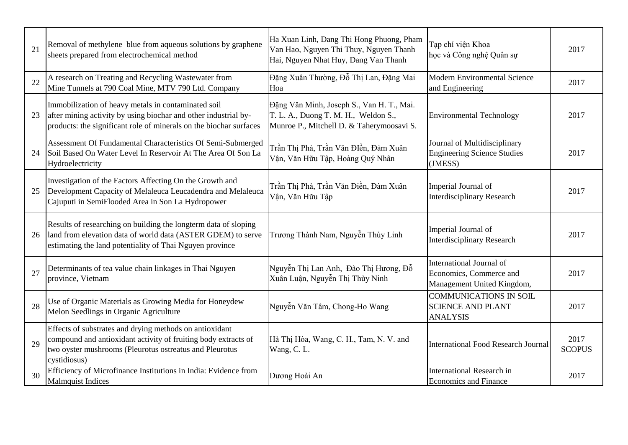| 21 | Removal of methylene blue from aqueous solutions by graphene<br>sheets prepared from electrochemical method                                                                                          | Ha Xuan Linh, Dang Thi Hong Phuong, Pham<br>Van Hao, Nguyen Thi Thuy, Nguyen Thanh<br>Hai, Nguyen Nhat Huy, Dang Van Thanh     | Tạp chí viện Khoa<br>học và Công nghệ Quân sự                                     | 2017                  |
|----|------------------------------------------------------------------------------------------------------------------------------------------------------------------------------------------------------|--------------------------------------------------------------------------------------------------------------------------------|-----------------------------------------------------------------------------------|-----------------------|
| 22 | A research on Treating and Recycling Wastewater from<br>Mine Tunnels at 790 Coal Mine, MTV 790 Ltd. Company                                                                                          | Đặng Xuân Thường, Đỗ Thị Lan, Đặng Mai<br>Hoa                                                                                  | <b>Modern Environmental Science</b><br>and Engineering                            | 2017                  |
| 23 | Immobilization of heavy metals in contaminated soil<br>after mining activity by using biochar and other industrial by-<br>products: the significant role of minerals on the biochar surfaces         | Đặng Văn Minh, Joseph S., Van H. T., Mai.<br>T. L. A., Duong T. M. H., Weldon S.,<br>Munroe P., Mitchell D. & Taherymoosavi S. | <b>Environmental Technology</b>                                                   | 2017                  |
| 24 | Assessment Of Fundamental Characteristics Of Semi-Submerged<br>Soil Based On Water Level In Reservoir At The Area Of Son La<br>Hydroelectricity                                                      | Trần Thị Phả, Trần Văn ĐIền, Đàm Xuân<br>Vận, Văn Hữu Tập, Hoàng Quý Nhân                                                      | Journal of Multidisciplinary<br><b>Engineering Science Studies</b><br>(JMESS)     | 2017                  |
| 25 | Investigation of the Factors Affecting On the Growth and<br>Development Capacity of Melaleuca Leucadendra and Melaleuca<br>Cajuputi in SemiFlooded Area in Son La Hydropower                         | Trần Thị Phả, Trần Văn Điền, Đàm Xuân<br>Vận, Văn Hữu Tập                                                                      | Imperial Journal of<br><b>Interdisciplinary Research</b>                          | 2017                  |
| 26 | Results of researching on building the longterm data of sloping<br>land from elevation data of world data (ASTER GDEM) to serve<br>estimating the land potentiality of Thai Nguyen province          | Trương Thành Nam, Nguyễn Thùy Linh                                                                                             | Imperial Journal of<br><b>Interdisciplinary Research</b>                          | 2017                  |
| 27 | Determinants of tea value chain linkages in Thai Nguyen<br>province, Vietnam                                                                                                                         | Nguyễn Thị Lan Anh, Đào Thị Hương, Đỗ<br>Xuân Luận, Nguyễn Thị Thùy Ninh                                                       | International Journal of<br>Economics, Commerce and<br>Management United Kingdom, | 2017                  |
| 28 | Use of Organic Materials as Growing Media for Honeydew<br>Melon Seedlings in Organic Agriculture                                                                                                     | Nguyễn Văn Tâm, Chong-Ho Wang                                                                                                  | <b>COMMUNICATIONS IN SOIL</b><br><b>SCIENCE AND PLANT</b><br><b>ANALYSIS</b>      | 2017                  |
| 29 | Effects of substrates and drying methods on antioxidant<br>compound and antioxidant activity of fruiting body extracts of<br>two oyster mushrooms (Pleurotus ostreatus and Pleurotus<br>cystidiosus) | Hà Thị Hòa, Wang, C. H., Tam, N. V. and<br>Wang, C.L.                                                                          | <b>International Food Research Journal</b>                                        | 2017<br><b>SCOPUS</b> |
| 30 | Efficiency of Microfinance Institutions in India: Evidence from<br><b>Malmquist Indices</b>                                                                                                          | Dương Hoài An                                                                                                                  | <b>International Research in</b><br><b>Economics and Finance</b>                  | 2017                  |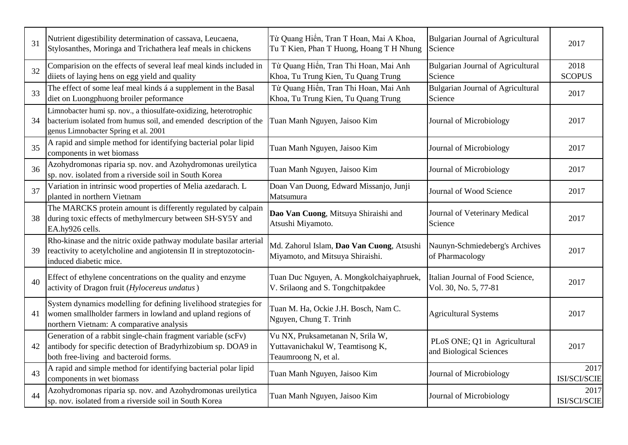| 31 | Nutrient digestibility determination of cassava, Leucaena,<br>Stylosanthes, Moringa and Trichathera leaf meals in chickens                                                      | Từ Quang Hiển, Tran T Hoan, Mai A Khoa,<br>Tu T Kien, Phan T Huong, Hoang T H Nhung          | <b>Bulgarian Journal of Agricultural</b><br>Science       | 2017                  |
|----|---------------------------------------------------------------------------------------------------------------------------------------------------------------------------------|----------------------------------------------------------------------------------------------|-----------------------------------------------------------|-----------------------|
| 32 | Comparision on the effects of several leaf meal kinds included in<br>diiets of laying hens on egg yield and quality                                                             | Từ Quang Hiển, Tran Thi Hoan, Mai Anh<br>Khoa, Tu Trung Kien, Tu Quang Trung                 | <b>Bulgarian Journal of Agricultural</b><br>Science       | 2018<br><b>SCOPUS</b> |
| 33 | The effect of some leaf meal kinds á a supplement in the Basal<br>diet on Luongphuong broiler peformance                                                                        | Từ Quang Hiển, Tran Thi Hoan, Mai Anh<br>Khoa, Tu Trung Kien, Tu Quang Trung                 | <b>Bulgarian Journal of Agricultural</b><br>Science       | 2017                  |
| 34 | Limnobacter humi sp. nov., a thiosulfate-oxidizing, heterotrophic<br>bacterium isolated from humus soil, and emended description of the<br>genus Limnobacter Spring et al. 2001 | Tuan Manh Nguyen, Jaisoo Kim                                                                 | Journal of Microbiology                                   | 2017                  |
| 35 | A rapid and simple method for identifying bacterial polar lipid<br>components in wet biomass                                                                                    | Tuan Manh Nguyen, Jaisoo Kim                                                                 | Journal of Microbiology                                   | 2017                  |
| 36 | Azohydromonas riparia sp. nov. and Azohydromonas ureilytica<br>sp. nov. isolated from a riverside soil in South Korea                                                           | Tuan Manh Nguyen, Jaisoo Kim                                                                 | Journal of Microbiology                                   | 2017                  |
| 37 | Variation in intrinsic wood properties of Melia azedarach. L<br>planted in northern Vietnam                                                                                     | Doan Van Duong, Edward Missanjo, Junji<br>Matsumura                                          | Journal of Wood Science                                   | 2017                  |
| 38 | The MARCKS protein amount is differently regulated by calpain<br>during toxic effects of methylmercury between SH-SY5Y and<br>EA.hy926 cells.                                   | Dao Van Cuong, Mitsuya Shiraishi and<br>Atsushi Miyamoto.                                    | Journal of Veterinary Medical<br>Science                  | 2017                  |
| 39 | Rho-kinase and the nitric oxide pathway modulate basilar arterial<br>reactivity to acetylcholine and angiotensin II in streptozotocin-<br>induced diabetic mice.                | Md. Zahorul Islam, Dao Van Cuong, Atsushi<br>Miyamoto, and Mitsuya Shiraishi.                | Naunyn-Schmiedeberg's Archives<br>of Pharmacology         | 2017                  |
| 40 | Effect of ethylene concentrations on the quality and enzyme<br>activity of Dragon fruit (Hylocereus undatus)                                                                    | Tuan Duc Nguyen, A. Mongkolchaiyaphruek,<br>V. Srilaong and S. Tongchitpakdee                | Italian Journal of Food Science,<br>Vol. 30, No. 5, 77-81 | 2017                  |
| 41 | System dynamics modelling for defining livelihood strategies for<br>women smallholder farmers in lowland and upland regions of<br>northern Vietnam: A comparative analysis      | Tuan M. Ha, Ockie J.H. Bosch, Nam C.<br>Nguyen, Chung T. Trinh                               | <b>Agricultural Systems</b>                               | 2017                  |
| 42 | Generation of a rabbit single-chain fragment variable (scFv)<br>antibody for specific detection of Bradyrhizobium sp. DOA9 in<br>both free-living and bacteroid forms.          | Vu NX, Pruksametanan N, Srila W,<br>Yuttavanichakul W, Teamtisong K,<br>Teaumroong N, et al. | PLoS ONE; Q1 in Agricultural<br>and Biological Sciences   | 2017                  |
| 43 | A rapid and simple method for identifying bacterial polar lipid<br>components in wet biomass                                                                                    | Tuan Manh Nguyen, Jaisoo Kim                                                                 | Journal of Microbiology                                   | 2017<br>ISI/SCI/SCIE  |
| 44 | Azohydromonas riparia sp. nov. and Azohydromonas ureilytica<br>sp. nov. isolated from a riverside soil in South Korea                                                           | Tuan Manh Nguyen, Jaisoo Kim                                                                 | Journal of Microbiology                                   | 2017<br>ISI/SCI/SCIE  |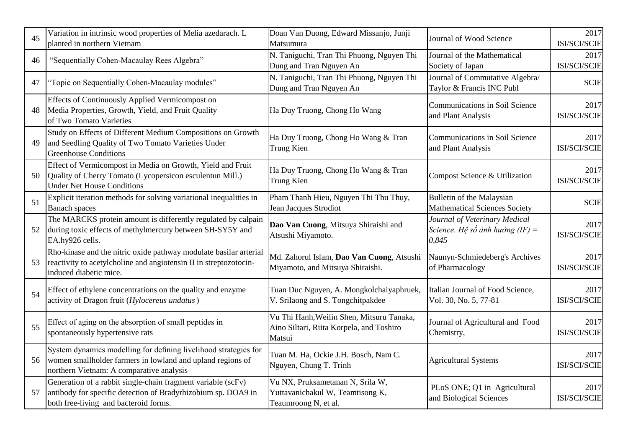| 45 | Variation in intrinsic wood properties of Melia azedarach. L<br>planted in northern Vietnam                                                                                | Doan Van Duong, Edward Missanjo, Junji<br>Matsumura                                             | Journal of Wood Science                                                   | 2017<br>ISI/SCI/SCIE |
|----|----------------------------------------------------------------------------------------------------------------------------------------------------------------------------|-------------------------------------------------------------------------------------------------|---------------------------------------------------------------------------|----------------------|
| 46 | "Sequentially Cohen-Macaulay Rees Algebra"                                                                                                                                 | N. Taniguchi, Tran Thi Phuong, Nguyen Thi<br>Dung and Tran Nguyen An                            | Journal of the Mathematical<br>Society of Japan                           | 2017<br>ISI/SCI/SCIE |
| 47 | "Topic on Sequentially Cohen-Macaulay modules"                                                                                                                             | N. Taniguchi, Tran Thi Phuong, Nguyen Thi<br>Dung and Tran Nguyen An                            | Journal of Commutative Algebra/<br>Taylor & Francis INC Publ              | <b>SCIE</b>          |
| 48 | Effects of Continuously Applied Vermicompost on<br>Media Properties, Growth, Yield, and Fruit Quality<br>of Two Tomato Varieties                                           | Ha Duy Truong, Chong Ho Wang                                                                    | <b>Communications in Soil Science</b><br>and Plant Analysis               | 2017<br>ISI/SCI/SCIE |
| 49 | Study on Effects of Different Medium Compositions on Growth<br>and Seedling Quality of Two Tomato Varieties Under<br><b>Greenhouse Conditions</b>                          | Ha Duy Truong, Chong Ho Wang & Tran<br>Trung Kien                                               | Communications in Soil Science<br>and Plant Analysis                      | 2017<br>ISI/SCI/SCIE |
| 50 | Effect of Vermicompost in Media on Growth, Yield and Fruit<br>Quality of Cherry Tomato (Lycopersicon esculentun Mill.)<br><b>Under Net House Conditions</b>                | Ha Duy Truong, Chong Ho Wang & Tran<br><b>Trung Kien</b>                                        | Compost Science & Utilization                                             | 2017<br>ISI/SCI/SCIE |
| 51 | Explicit iteration methods for solving variational inequalities in<br><b>Banach</b> spaces                                                                                 | Pham Thanh Hieu, Nguyen Thi Thu Thuy,<br>Jean Jacques Strodiot                                  | Bulletin of the Malaysian<br><b>Mathematical Sciences Society</b>         | <b>SCIE</b>          |
| 52 | The MARCKS protein amount is differently regulated by calpain<br>during toxic effects of methylmercury between SH-SY5Y and<br>EA.hy926 cells.                              | Dao Van Cuong, Mitsuya Shiraishi and<br>Atsushi Miyamoto.                                       | Journal of Veterinary Medical<br>Science. Hệ số ảnh hưởng (IF) =<br>0,845 | 2017<br>ISI/SCI/SCIE |
| 53 | Rho-kinase and the nitric oxide pathway modulate basilar arterial<br>reactivity to acetylcholine and angiotensin II in streptozotocin-<br>induced diabetic mice.           | Md. Zahorul Islam, Dao Van Cuong, Atsushi<br>Miyamoto, and Mitsuya Shiraishi.                   | Naunyn-Schmiedeberg's Archives<br>of Pharmacology                         | 2017<br>ISI/SCI/SCIE |
| 54 | Effect of ethylene concentrations on the quality and enzyme<br>activity of Dragon fruit (Hylocereus undatus)                                                               | Tuan Duc Nguyen, A. Mongkolchaiyaphruek,<br>V. Srilaong and S. Tongchitpakdee                   | Italian Journal of Food Science,<br>Vol. 30, No. 5, 77-81                 | 2017<br>ISI/SCI/SCIE |
| 55 | Effect of aging on the absorption of small peptides in<br>spontaneously hypertensive rats                                                                                  | Vu Thi Hanh, Weilin Shen, Mitsuru Tanaka,<br>Aino Siltari, Riita Korpela, and Toshiro<br>Matsui | Journal of Agricultural and Food<br>Chemistry,                            | 2017<br>ISI/SCI/SCIE |
| 56 | System dynamics modelling for defining livelihood strategies for<br>women smallholder farmers in lowland and upland regions of<br>northern Vietnam: A comparative analysis | Tuan M. Ha, Ockie J.H. Bosch, Nam C.<br>Nguyen, Chung T. Trinh                                  | <b>Agricultural Systems</b>                                               | 2017<br>ISI/SCI/SCIE |
| 57 | Generation of a rabbit single-chain fragment variable (scFv)<br>antibody for specific detection of Bradyrhizobium sp. DOA9 in<br>both free-living and bacteroid forms.     | Vu NX, Pruksametanan N, Srila W,<br>Yuttavanichakul W, Teamtisong K,<br>Teaumroong N, et al.    | PLoS ONE; Q1 in Agricultural<br>and Biological Sciences                   | 2017<br>ISI/SCI/SCIE |